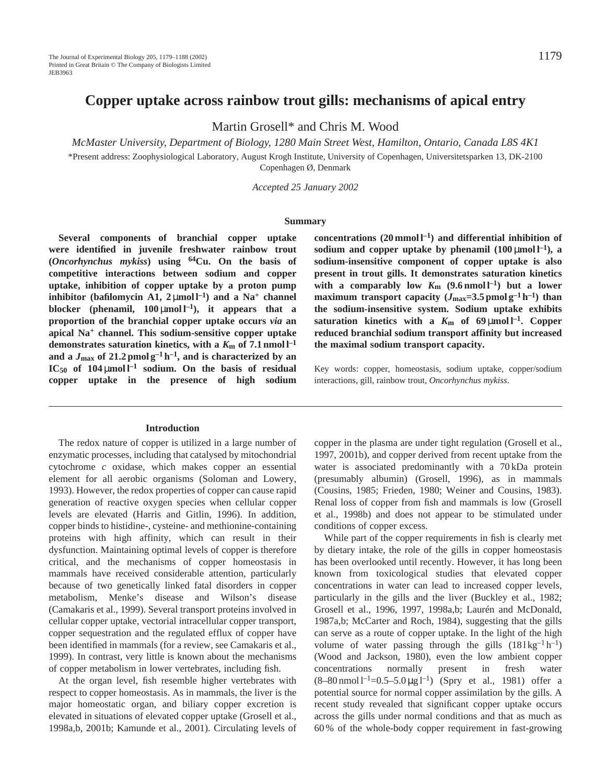Martin Grosell\* and Chris M. Wood

*McMaster University, Department of Biology, 1280 Main Street West, Hamilton, Ontario, Canada L8S 4K1*

\*Present address: Zoophysiological Laboratory, August Krogh Institute, University of Copenhagen, Universitetsparken 13, DK-2100 Copenhagen Ø, Denmark

*Accepted 25 January 2002*

#### **Summary**

**Several components of branchial copper uptake were identified in juvenile freshwater rainbow trout (***Oncorhynchus mykiss***) using 64Cu. On the basis of competitive interactions between sodium and copper uptake, inhibition of copper uptake by a proton pump inhibitor** (bafilomycin A1,  $2 \mu$ mol l<sup>-1</sup>) and a Na<sup>+</sup> channel **blocker** (phenamil,  $100 \mu \text{mol}^{-1}$ ), it appears that a **proportion of the branchial copper uptake occurs** *via* **an apical Na<sup>+</sup> channel. This sodium-sensitive copper uptake demonstrates saturation kinetics, with a**  $K_m$  **of 7.1 nmol**  $l^{-1}$ and a  $J_{\text{max}}$  of 21.2 pmol  $g^{-1}h^{-1}$ , and is characterized by an  $IC_{50}$  of  $104 \mu \text{mol}^{-1}$  sodium. On the basis of residual **copper uptake in the presence of high sodium**

#### **Introduction**

The redox nature of copper is utilized in a large number of enzymatic processes, including that catalysed by mitochondrial cytochrome *c* oxidase, which makes copper an essential element for all aerobic organisms (Soloman and Lowery, 1993). However, the redox properties of copper can cause rapid generation of reactive oxygen species when cellular copper levels are elevated (Harris and Gitlin, 1996). In addition, copper binds to histidine-, cysteine- and methionine-containing proteins with high affinity, which can result in their dysfunction. Maintaining optimal levels of copper is therefore critical, and the mechanisms of copper homeostasis in mammals have received considerable attention, particularly because of two genetically linked fatal disorders in copper metabolism, Menke's disease and Wilson's disease (Camakaris et al., 1999). Several transport proteins involved in cellular copper uptake, vectorial intracellular copper transport, copper sequestration and the regulated efflux of copper have been identified in mammals (for a review, see Camakaris et al., 1999). In contrast, very little is known about the mechanisms of copper metabolism in lower vertebrates, including fish.

At the organ level, fish resemble higher vertebrates with respect to copper homeostasis. As in mammals, the liver is the major homeostatic organ, and biliary copper excretion is elevated in situations of elevated copper uptake (Grosell et al., 1998a,b, 2001b; Kamunde et al., 2001). Circulating levels of **concentrations (20 mmol l–1) and differential inhibition of** sodium and copper uptake by phenamil  $(100 \mu \text{mol})^{-1}$ , a **sodium-insensitive component of copper uptake is also present in trout gills. It demonstrates saturation kinetics** with a comparably low  $K_m$  (9.6 nmol l<sup>-1</sup>) but a lower **maximum transport capacity**  $(J_{\text{max}}=3.5 \text{ pmol g}^{-1} \text{ h}^{-1})$  than **the sodium-insensitive system. Sodium uptake exhibits** saturation kinetics with a  $K_m$  of 69  $\mu$ mol l<sup>-1</sup>. Copper **reduced branchial sodium transport affinity but increased the maximal sodium transport capacity.**

Key words: copper, homeostasis, sodium uptake, copper/sodium interactions, gill, rainbow trout, *Oncorhynchus mykiss*.

copper in the plasma are under tight regulation (Grosell et al., 1997, 2001b), and copper derived from recent uptake from the water is associated predominantly with a 70 kDa protein (presumably albumin) (Grosell, 1996), as in mammals (Cousins, 1985; Frieden, 1980; Weiner and Cousins, 1983). Renal loss of copper from fish and mammals is low (Grosell et al., 1998b) and does not appear to be stimulated under conditions of copper excess.

While part of the copper requirements in fish is clearly met by dietary intake, the role of the gills in copper homeostasis has been overlooked until recently. However, it has long been known from toxicological studies that elevated copper concentrations in water can lead to increased copper levels, particularly in the gills and the liver (Buckley et al., 1982; Grosell et al., 1996, 1997, 1998a,b; Laurén and McDonald, 1987a,b; McCarter and Roch, 1984), suggesting that the gills can serve as a route of copper uptake. In the light of the high volume of water passing through the gills  $(18 \text{ kg}^{-1} \text{ h}^{-1})$ (Wood and Jackson, 1980), even the low ambient copper concentrations normally present in fresh water  $(8-80 \text{ nmol }1^{-1}=0.5-5.0 \text{ µg }1^{-1})$  (Spry et al., 1981) offer a potential source for normal copper assimilation by the gills. A recent study revealed that significant copper uptake occurs across the gills under normal conditions and that as much as 60 % of the whole-body copper requirement in fast-growing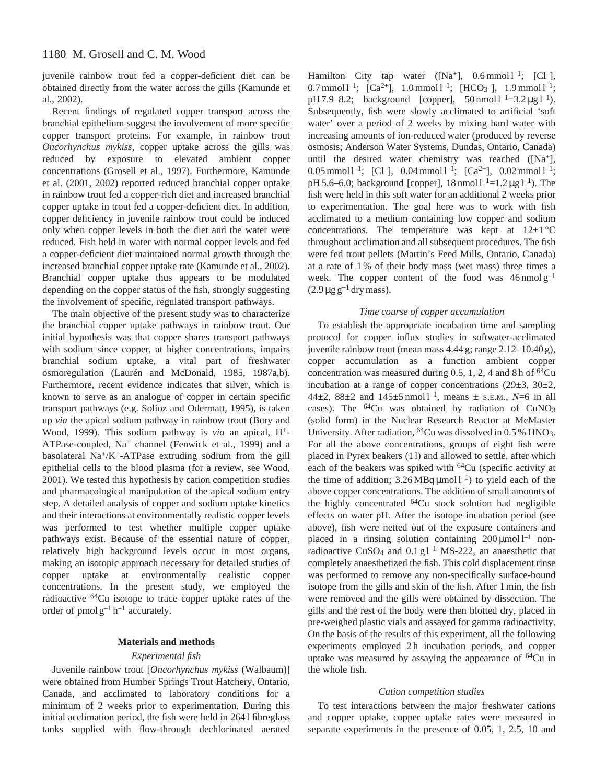juvenile rainbow trout fed a copper-deficient diet can be obtained directly from the water across the gills (Kamunde et al., 2002).

Recent findings of regulated copper transport across the branchial epithelium suggest the involvement of more specific copper transport proteins. For example, in rainbow trout *Oncorhynchus mykiss*, copper uptake across the gills was reduced by exposure to elevated ambient copper concentrations (Grosell et al., 1997). Furthermore, Kamunde et al. (2001, 2002) reported reduced branchial copper uptake in rainbow trout fed a copper-rich diet and increased branchial copper uptake in trout fed a copper-deficient diet. In addition, copper deficiency in juvenile rainbow trout could be induced only when copper levels in both the diet and the water were reduced. Fish held in water with normal copper levels and fed a copper-deficient diet maintained normal growth through the increased branchial copper uptake rate (Kamunde et al., 2002). Branchial copper uptake thus appears to be modulated depending on the copper status of the fish, strongly suggesting the involvement of specific, regulated transport pathways.

The main objective of the present study was to characterize the branchial copper uptake pathways in rainbow trout. Our initial hypothesis was that copper shares transport pathways with sodium since copper, at higher concentrations, impairs branchial sodium uptake, a vital part of freshwater osmoregulation (Laurén and McDonald, 1985, 1987a,b). Furthermore, recent evidence indicates that silver, which is known to serve as an analogue of copper in certain specific transport pathways (e.g. Solioz and Odermatt, 1995), is taken up *via* the apical sodium pathway in rainbow trout (Bury and Wood, 1999). This sodium pathway is *via* an apical, H+- ATPase-coupled, Na<sup>+</sup> channel (Fenwick et al., 1999) and a basolateral Na<sup>+</sup>/K<sup>+</sup>-ATPase extruding sodium from the gill epithelial cells to the blood plasma (for a review, see Wood, 2001). We tested this hypothesis by cation competition studies and pharmacological manipulation of the apical sodium entry step. A detailed analysis of copper and sodium uptake kinetics and their interactions at environmentally realistic copper levels was performed to test whether multiple copper uptake pathways exist. Because of the essential nature of copper, relatively high background levels occur in most organs, making an isotopic approach necessary for detailed studies of copper uptake at environmentally realistic copper concentrations. In the present study, we employed the radioactive 64Cu isotope to trace copper uptake rates of the order of pmol  $g^{-1} h^{-1}$  accurately.

## **Materials and methods**

## *Experimental fish*

Juvenile rainbow trout [*Oncorhynchus mykiss* (Walbaum)] were obtained from Humber Springs Trout Hatchery, Ontario, Canada, and acclimated to laboratory conditions for a minimum of 2 weeks prior to experimentation. During this initial acclimation period, the fish were held in 264 l fibreglass tanks supplied with flow-through dechlorinated aerated

Hamilton City tap water  $([Na^+], 0.6 \text{ mmol } l^{-1}; [Cl^-],$ 0.7 mmol  $1^{-1}$ ; [Ca<sup>2+</sup>], 1.0 mmol  $1^{-1}$ ; [HCO<sub>3</sub><sup>-</sup>], 1.9 mmol  $1^{-1}$ ; pH 7.9–8.2; background [copper],  $50 \text{ nmol } 1^{-1} = 3.2 \mu g 1^{-1}$ . Subsequently, fish were slowly acclimated to artificial 'soft water' over a period of 2 weeks by mixing hard water with increasing amounts of ion-reduced water (produced by reverse osmosis; Anderson Water Systems, Dundas, Ontario, Canada) until the desired water chemistry was reached  $(Na^+)$ , 0.05 mmol  $l^{-1}$ ; [Cl<sup>-</sup>], 0.04 mmol  $l^{-1}$ ; [Ca<sup>2+</sup>], 0.02 mmol  $l^{-1}$ ; pH 5.6–6.0; background [copper],  $18 \text{ nmol } l^{-1}$ =1.2 µg l<sup>-1</sup>). The fish were held in this soft water for an additional 2 weeks prior to experimentation. The goal here was to work with fish acclimated to a medium containing low copper and sodium concentrations. The temperature was kept at  $12\pm1$  °C throughout acclimation and all subsequent procedures. The fish were fed trout pellets (Martin's Feed Mills, Ontario, Canada) at a rate of 1 % of their body mass (wet mass) three times a week. The copper content of the food was  $46$  nmol  $g^{-1}$  $(2.9 \,\mu g \,g^{-1} \,$ dry mass).

## *Time course of copper accumulation*

To establish the appropriate incubation time and sampling protocol for copper influx studies in softwater-acclimated juvenile rainbow trout (mean mass 4.44 g; range 2.12–10.40 g), copper accumulation as a function ambient copper concentration was measured during 0.5, 1, 2, 4 and 8 h of  ${}^{64}Cu$ incubation at a range of copper concentrations (29±3, 30±2, 44 $\pm$ 2, 88 $\pm$ 2 and 145 $\pm$ 5 nmol<sup>1-1</sup>, means  $\pm$  s.e.m., N=6 in all cases). The 64Cu was obtained by radiation of CuNO3 (solid form) in the Nuclear Research Reactor at McMaster University. After radiation, <sup>64</sup>Cu was dissolved in 0.5 % HNO<sub>3</sub>. For all the above concentrations, groups of eight fish were placed in Pyrex beakers (1 l) and allowed to settle, after which each of the beakers was spiked with 64Cu (specific activity at the time of addition;  $3.26 \text{MBq} \mu \text{mol}^{-1}$  to yield each of the above copper concentrations. The addition of small amounts of the highly concentrated 64Cu stock solution had negligible effects on water pH. After the isotope incubation period (see above), fish were netted out of the exposure containers and placed in a rinsing solution containing  $200 \mu$ mol l<sup>-1</sup> nonradioactive CuSO<sub>4</sub> and  $0.1 g l^{-1}$  MS-222, an anaesthetic that completely anaesthetized the fish. This cold displacement rinse was performed to remove any non-specifically surface-bound isotope from the gills and skin of the fish. After 1 min, the fish were removed and the gills were obtained by dissection. The gills and the rest of the body were then blotted dry, placed in pre-weighed plastic vials and assayed for gamma radioactivity. On the basis of the results of this experiment, all the following experiments employed 2h incubation periods, and copper uptake was measured by assaying the appearance of 64Cu in the whole fish.

#### *Cation competition studies*

To test interactions between the major freshwater cations and copper uptake, copper uptake rates were measured in separate experiments in the presence of 0.05, 1, 2.5, 10 and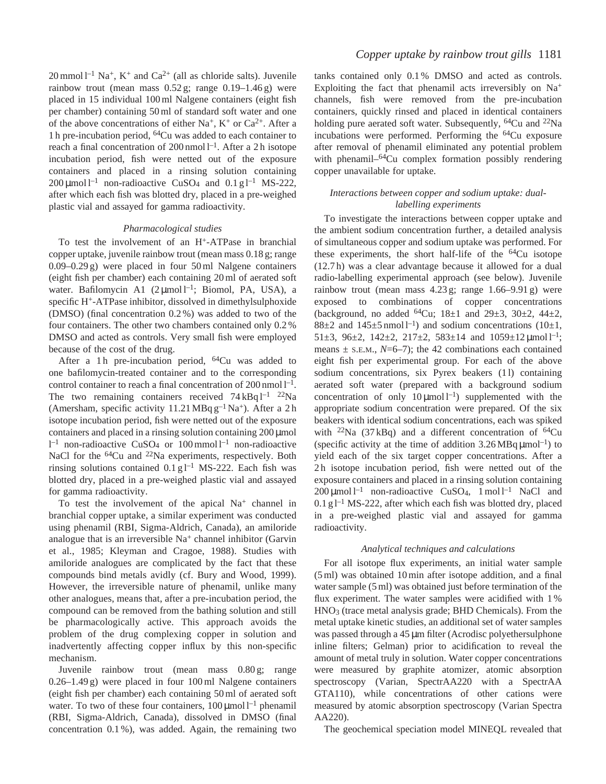$20$  mmol l<sup>-1</sup> Na<sup>+</sup>, K<sup>+</sup> and Ca<sup>2+</sup> (all as chloride salts). Juvenile rainbow trout (mean mass  $0.52$  g; range  $0.19-1.46$  g) were placed in 15 individual 100 ml Nalgene containers (eight fish per chamber) containing 50 ml of standard soft water and one of the above concentrations of either Na<sup>+</sup>, K<sup>+</sup> or Ca<sup>2+</sup>. After a 1 h pre-incubation period, 64Cu was added to each container to reach a final concentration of  $200$  nmol  $l^{-1}$ . After a 2h isotope incubation period, fish were netted out of the exposure containers and placed in a rinsing solution containing  $200 \mu$ mol l<sup>-1</sup> non-radioactive CuSO<sub>4</sub> and 0.1 g l<sup>-1</sup> MS-222, after which each fish was blotted dry, placed in a pre-weighed plastic vial and assayed for gamma radioactivity.

## *Pharmacological studies*

To test the involvement of an H+-ATPase in branchial copper uptake, juvenile rainbow trout (mean mass 0.18 g; range 0.09–0.29 g) were placed in four 50 ml Nalgene containers (eight fish per chamber) each containing 20 ml of aerated soft water. Bafilomycin A1  $(2 \mu \text{mol})^{-1}$ ; Biomol, PA, USA), a specific H+-ATPase inhibitor, dissolved in dimethylsulphoxide (DMSO) (final concentration 0.2 %) was added to two of the four containers. The other two chambers contained only 0.2 % DMSO and acted as controls. Very small fish were employed because of the cost of the drug.

After a 1h pre-incubation period,  $^{64}Cu$  was added to one bafilomycin-treated container and to the corresponding control container to reach a final concentration of  $200 \text{ nmol } l^{-1}$ . The two remaining containers received  $74 \text{ kBq } l^{-1}$   $^{22}\text{Na}$ (Amersham, specific activity  $11.21 \text{ MBq g}^{-1} \text{Na}^+$ ). After a 2 h isotope incubation period, fish were netted out of the exposure containers and placed in a rinsing solution containing 200 µmol  $l^{-1}$  non-radioactive CuSO<sub>4</sub> or 100 mmol  $l^{-1}$  non-radioactive NaCl for the <sup>64</sup>Cu and <sup>22</sup>Na experiments, respectively. Both rinsing solutions contained  $0.1 g<sup>-1</sup> MS-222$ . Each fish was blotted dry, placed in a pre-weighed plastic vial and assayed for gamma radioactivity.

To test the involvement of the apical  $Na<sup>+</sup>$  channel in branchial copper uptake, a similar experiment was conducted using phenamil (RBI, Sigma-Aldrich, Canada), an amiloride analogue that is an irreversible  $Na<sup>+</sup>$  channel inhibitor (Garvin et al., 1985; Kleyman and Cragoe, 1988). Studies with amiloride analogues are complicated by the fact that these compounds bind metals avidly (cf. Bury and Wood, 1999). However, the irreversible nature of phenamil, unlike many other analogues, means that, after a pre-incubation period, the compound can be removed from the bathing solution and still be pharmacologically active. This approach avoids the problem of the drug complexing copper in solution and inadvertently affecting copper influx by this non-specific mechanism.

Juvenile rainbow trout (mean mass 0.80 g; range 0.26–1.49 g) were placed in four 100 ml Nalgene containers (eight fish per chamber) each containing 50 ml of aerated soft water. To two of these four containers,  $100 \mu$ mol l<sup>-1</sup> phenamil (RBI, Sigma-Aldrich, Canada), dissolved in DMSO (final concentration 0.1 %), was added. Again, the remaining two

tanks contained only 0.1 % DMSO and acted as controls. Exploiting the fact that phenamil acts irreversibly on  $Na<sup>+</sup>$ channels, fish were removed from the pre-incubation containers, quickly rinsed and placed in identical containers holding pure aerated soft water. Subsequently, <sup>64</sup>Cu and <sup>22</sup>Na incubations were performed. Performing the 64Cu exposure after removal of phenamil eliminated any potential problem with phenamil–<sup>64</sup>Cu complex formation possibly rendering copper unavailable for uptake.

## *Interactions between copper and sodium uptake: duallabelling experiments*

To investigate the interactions between copper uptake and the ambient sodium concentration further, a detailed analysis of simultaneous copper and sodium uptake was performed. For these experiments, the short half-life of the  $64Cu$  isotope (12.7 h) was a clear advantage because it allowed for a dual radio-labelling experimental approach (see below). Juvenile rainbow trout (mean mass  $4.23$  g; range  $1.66-9.91$  g) were exposed to combinations of copper concentrations (background, no added  ${}^{64}Cu$ ; 18 $\pm 1$  and 29 $\pm 3$ , 30 $\pm 2$ , 44 $\pm 2$ , 88 $\pm$ 2 and 145 $\pm$ 5 nmol l<sup>-1</sup>) and sodium concentrations (10 $\pm$ 1, 51 $\pm$ 3, 96 $\pm$ 2, 142 $\pm$ 2, 217 $\pm$ 2, 583 $\pm$ 14 and 1059 $\pm$ 12  $\mu$ mol<sup>1-1</sup>; means  $\pm$  s.e.m., *N*=6–7); the 42 combinations each contained eight fish per experimental group. For each of the above sodium concentrations, six Pyrex beakers (11) containing aerated soft water (prepared with a background sodium concentration of only  $10 \mu \text{mol}^{-1}$ ) supplemented with the appropriate sodium concentration were prepared. Of the six beakers with identical sodium concentrations, each was spiked with <sup>22</sup>Na (37 kBq) and a different concentration of  ${}^{64}Cu$ (specific activity at the time of addition  $3.26 \text{MBq } \mu \text{mol}^{-1}$ ) to yield each of the six target copper concentrations. After a 2 h isotope incubation period, fish were netted out of the exposure containers and placed in a rinsing solution containing  $200 \mu$ mol l<sup>-1</sup> non-radioactive CuSO<sub>4</sub>, 1 mol l<sup>-1</sup> NaCl and  $0.1 \text{ g}$ <sup>1-1</sup> MS-222, after which each fish was blotted dry, placed in a pre-weighed plastic vial and assayed for gamma radioactivity.

## *Analytical techniques and calculations*

For all isotope flux experiments, an initial water sample (5 ml) was obtained 10 min after isotope addition, and a final water sample (5 ml) was obtained just before termination of the flux experiment. The water samples were acidified with 1 % HNO3 (trace metal analysis grade; BHD Chemicals). From the metal uptake kinetic studies, an additional set of water samples was passed through a 45 µm filter (Acrodisc polyethersulphone inline filters; Gelman) prior to acidification to reveal the amount of metal truly in solution. Water copper concentrations were measured by graphite atomizer, atomic absorption spectroscopy (Varian, SpectrAA220 with a SpectrAA GTA110), while concentrations of other cations were measured by atomic absorption spectroscopy (Varian Spectra AA220).

The geochemical speciation model MINEQL revealed that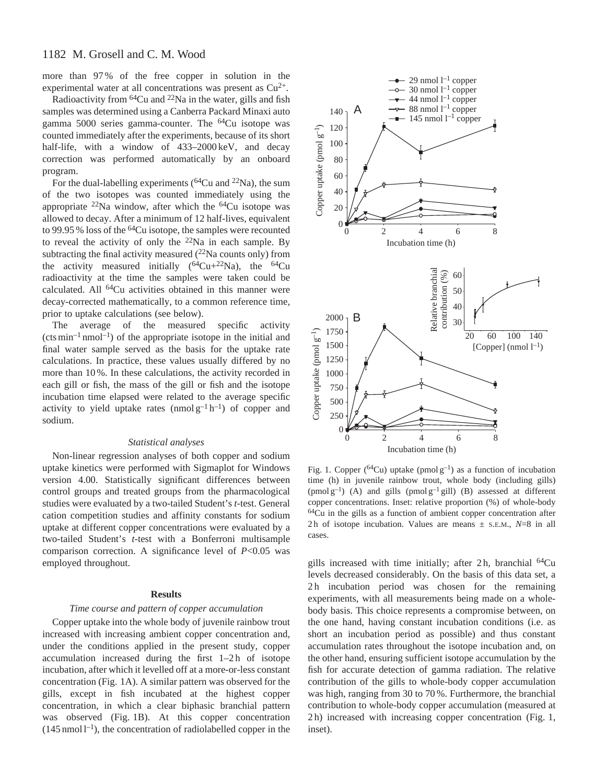# 1182 M. Grosell and C. M. Wood

more than 97 % of the free copper in solution in the experimental water at all concentrations was present as  $Cu^{2+}$ .

Radioactivity from  $64Cu$  and  $22Na$  in the water, gills and fish samples was determined using a Canberra Packard Minaxi auto gamma 5000 series gamma-counter. The 64Cu isotope was counted immediately after the experiments, because of its short half-life, with a window of 433–2000 keV, and decay correction was performed automatically by an onboard program.

For the dual-labelling experiments ( ${}^{64}Cu$  and  ${}^{22}Na$ ), the sum of the two isotopes was counted immediately using the appropriate  $^{22}$ Na window, after which the  $^{64}$ Cu isotope was allowed to decay. After a minimum of 12 half-lives, equivalent to 99.95 % loss of the <sup>64</sup>Cu isotope, the samples were recounted to reveal the activity of only the  $22$ Na in each sample. By subtracting the final activity measured  $(^{22}Na$  counts only) from the activity measured initially  $(^{64}Cu+^{22}Na)$ , the  $^{64}Cu$ radioactivity at the time the samples were taken could be calculated. All <sup>64</sup>Cu activities obtained in this manner were decay-corrected mathematically, to a common reference time, prior to uptake calculations (see below).

The average of the measured specific activity  $(\text{cts min}^{-1} \text{nmol}^{-1})$  of the appropriate isotope in the initial and final water sample served as the basis for the uptake rate calculations. In practice, these values usually differed by no more than 10 %. In these calculations, the activity recorded in each gill or fish, the mass of the gill or fish and the isotope incubation time elapsed were related to the average specific activity to yield uptake rates  $(nmod g^{-1} h^{-1})$  of copper and sodium.

## *Statistical analyses*

Non-linear regression analyses of both copper and sodium uptake kinetics were performed with Sigmaplot for Windows version 4.00. Statistically significant differences between control groups and treated groups from the pharmacological studies were evaluated by a two-tailed Student's *t*-test. General cation competition studies and affinity constants for sodium uptake at different copper concentrations were evaluated by a two-tailed Student's *t*-test with a Bonferroni multisample comparison correction. A significance level of *P*<0.05 was employed throughout.

## **Results**

## *Time course and pattern of copper accumulation*

Copper uptake into the whole body of juvenile rainbow trout increased with increasing ambient copper concentration and, under the conditions applied in the present study, copper accumulation increased during the first  $1-2h$  of isotope incubation, after which it levelled off at a more-or-less constant concentration (Fig. 1A). A similar pattern was observed for the gills, except in fish incubated at the highest copper concentration, in which a clear biphasic branchial pattern was observed (Fig. 1B). At this copper concentration  $(145 \text{ nmol } l^{-1})$ , the concentration of radiolabelled copper in the



Fig. 1. Copper ( ${}^{64}Cu$ ) uptake (pmol g<sup>-1</sup>) as a function of incubation time (h) in juvenile rainbow trout, whole body (including gills) (pmol  $g^{-1}$ ) (A) and gills (pmol  $g^{-1}$  gill) (B) assessed at different copper concentrations. Inset: relative proportion (%) of whole-body 64Cu in the gills as a function of ambient copper concentration after 2h of isotope incubation. Values are means  $\pm$  s.e.m.,  $N=8$  in all cases.

gills increased with time initially; after  $2h$ , branchial  $64Cu$ levels decreased considerably. On the basis of this data set, a 2 h incubation period was chosen for the remaining experiments, with all measurements being made on a wholebody basis. This choice represents a compromise between, on the one hand, having constant incubation conditions (i.e. as short an incubation period as possible) and thus constant accumulation rates throughout the isotope incubation and, on the other hand, ensuring sufficient isotope accumulation by the fish for accurate detection of gamma radiation. The relative contribution of the gills to whole-body copper accumulation was high, ranging from 30 to 70 %. Furthermore, the branchial contribution to whole-body copper accumulation (measured at 2 h) increased with increasing copper concentration (Fig. 1, inset).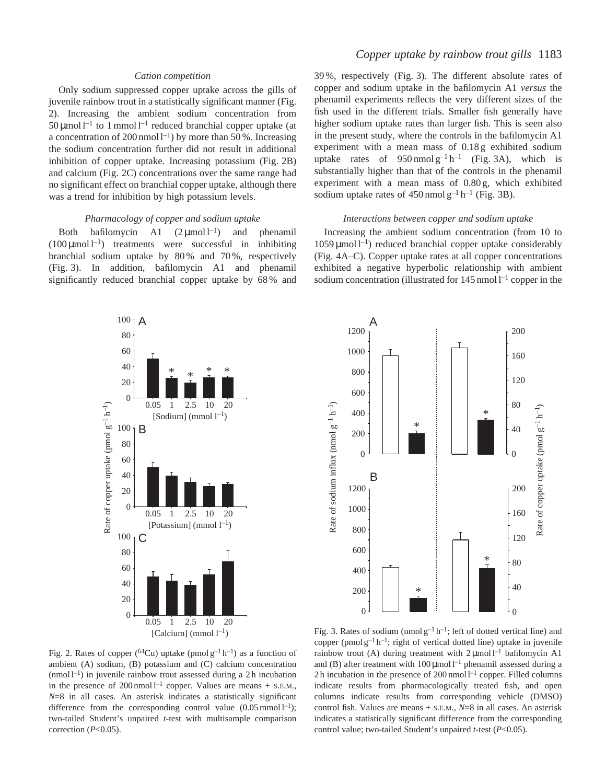## *Cation competition*

Only sodium suppressed copper uptake across the gills of juvenile rainbow trout in a statistically significant manner (Fig. 2). Increasing the ambient sodium concentration from  $50 \mu$ mol l<sup>-1</sup> to 1 mmol l<sup>-1</sup> reduced branchial copper uptake (at a concentration of 200 nmol  $l^{-1}$ ) by more than 50%. Increasing the sodium concentration further did not result in additional inhibition of copper uptake. Increasing potassium (Fig. 2B) and calcium (Fig. 2C) concentrations over the same range had no significant effect on branchial copper uptake, although there was a trend for inhibition by high potassium levels.

#### *Pharmacology of copper and sodium uptake*

Both bafilomycin A1  $(2 \mu \text{mol})^{-1}$  and phenamil  $(100 \,\mu\text{mol})^{-1}$  treatments were successful in inhibiting branchial sodium uptake by  $80\%$  and  $70\%$ , respectively (Fig. 3). In addition, bafilomycin A1 and phenamil significantly reduced branchial copper uptake by 68 % and

# *Copper uptake by rainbow trout gills* 1183

39 %, respectively (Fig. 3). The different absolute rates of copper and sodium uptake in the bafilomycin A1 *versus* the phenamil experiments reflects the very different sizes of the fish used in the different trials. Smaller fish generally have higher sodium uptake rates than larger fish. This is seen also in the present study, where the controls in the bafilomycin A1 experiment with a mean mass of 0.18 g exhibited sodium uptake rates of  $950 \text{ nmol } g^{-1} h^{-1}$  (Fig. 3A), which is substantially higher than that of the controls in the phenamil experiment with a mean mass of 0.80 g, which exhibited sodium uptake rates of  $450$  nmol  $g^{-1}$  h<sup>-1</sup> (Fig. 3B).

## *Interactions between copper and sodium uptake*

Increasing the ambient sodium concentration (from 10 to  $1059 \mu$ mol l<sup>-1</sup>) reduced branchial copper uptake considerably (Fig. 4A–C). Copper uptake rates at all copper concentrations exhibited a negative hyperbolic relationship with ambient sodium concentration (illustrated for  $145$  nmol  $1^{-1}$  copper in the





Fig. 2. Rates of copper (<sup>64</sup>Cu) uptake (pmol  $g^{-1}h^{-1}$ ) as a function of ambient (A) sodium, (B) potassium and (C) calcium concentration  $(nmol)^{-1}$ ) in juvenile rainbow trout assessed during a 2h incubation in the presence of  $200 \text{ nmol}$ <sup> $-1$ </sup> copper. Values are means  $+$  s.E.M., *N*=8 in all cases. An asterisk indicates a statistically significant difference from the corresponding control value  $(0.05 \text{ mmol } l^{-1})$ ; two-tailed Student's unpaired *t*-test with multisample comparison correction (*P*<0.05).

Fig. 3. Rates of sodium (nmol  $g^{-1}h^{-1}$ ; left of dotted vertical line) and copper (pmol  $g^{-1}$  h<sup>-1</sup>; right of vertical dotted line) uptake in juvenile rainbow trout (A) during treatment with  $2 \mu$ mol  $l^{-1}$  bafilomycin A1 and (B) after treatment with  $100 \mu$ mol l<sup>-1</sup> phenamil assessed during a 2 h incubation in the presence of  $200$  nmol  $l^{-1}$  copper. Filled columns indicate results from pharmacologically treated fish, and open columns indicate results from corresponding vehicle (DMSO) control fish. Values are means + S.E.M., *N*=8 in all cases. An asterisk indicates a statistically significant difference from the corresponding control value; two-tailed Student's unpaired *t*-test (*P*<0.05).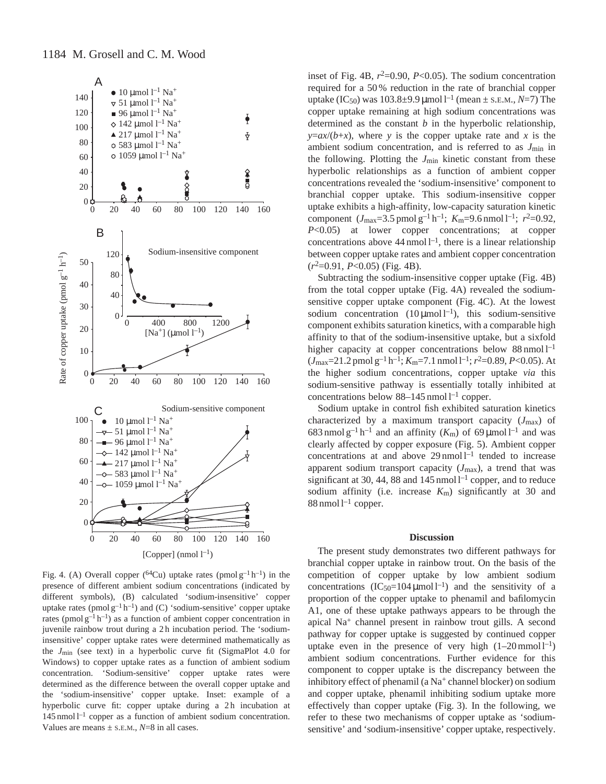

Fig. 4. (A) Overall copper (<sup>64</sup>Cu) uptake rates (pmol  $g^{-1}h^{-1}$ ) in the presence of different ambient sodium concentrations (indicated by different symbols), (B) calculated 'sodium-insensitive' copper uptake rates (pmol  $g^{-1}h^{-1}$ ) and (C) 'sodium-sensitive' copper uptake rates (pmol  $g^{-1}h^{-1}$ ) as a function of ambient copper concentration in juvenile rainbow trout during a 2 h incubation period. The 'sodiuminsensitive' copper uptake rates were determined mathematically as the *J*min (see text) in a hyperbolic curve fit (SigmaPlot 4.0 for Windows) to copper uptake rates as a function of ambient sodium concentration. 'Sodium-sensitive' copper uptake rates were determined as the difference between the overall copper uptake and the 'sodium-insensitive' copper uptake. Inset: example of a hyperbolic curve fit: copper uptake during a 2h incubation at  $145$  nmol  $1^{-1}$  copper as a function of ambient sodium concentration. Values are means  $\pm$  s.E.M.,  $N=8$  in all cases.

inset of Fig. 4B,  $r^2=0.90$ ,  $P<0.05$ ). The sodium concentration required for a 50 % reduction in the rate of branchial copper uptake (IC<sub>50</sub>) was  $103.8 \pm 9.9 \,\mu$  mol l<sup>-1</sup> (mean  $\pm$  s.e.m., *N*=7) The copper uptake remaining at high sodium concentrations was determined as the constant *b* in the hyperbolic relationship,  $y = ax/(b+x)$ , where *y* is the copper uptake rate and *x* is the ambient sodium concentration, and is referred to as *J*min in the following. Plotting the  $J_{\text{min}}$  kinetic constant from these hyperbolic relationships as a function of ambient copper concentrations revealed the 'sodium-insensitive' component to branchial copper uptake. This sodium-insensitive copper uptake exhibits a high-affinity, low-capacity saturation kinetic component  $(J_{\text{max}}=3.5 \text{ pmol g}^{-1} \text{ h}^{-1}; K_{\text{m}}=9.6 \text{ nmol l}^{-1}; r^2=0.92,$ *P*<0.05) at lower copper concentrations; at copper concentrations above  $44 \text{ nmol } l^{-1}$ , there is a linear relationship between copper uptake rates and ambient copper concentration (*r*2=0.91, *P*<0.05) (Fig. 4B).

Subtracting the sodium-insensitive copper uptake (Fig. 4B) from the total copper uptake (Fig. 4A) revealed the sodiumsensitive copper uptake component (Fig. 4C). At the lowest sodium concentration  $(10 \mu \text{mol})^{-1}$ , this sodium-sensitive component exhibits saturation kinetics, with a comparable high affinity to that of the sodium-insensitive uptake, but a sixfold higher capacity at copper concentrations below  $88 \text{ nmol } l^{-1}$  $(J_{\text{max}}=21.2 \text{ pmol g}^{-1} \text{h}^{-1}; K_{\text{m}}=7.1 \text{ mmol l}^{-1}; r^2=0.89, P<0.05)$ . At the higher sodium concentrations, copper uptake *via* this sodium-sensitive pathway is essentially totally inhibited at concentrations below  $88-145$  nmol  $1^{-1}$  copper.

Sodium uptake in control fish exhibited saturation kinetics characterized by a maximum transport capacity  $(J_{\text{max}})$  of 683 nmol  $g^{-1}h^{-1}$  and an affinity  $(K_m)$  of 69 µmol l<sup>-1</sup> and was clearly affected by copper exposure (Fig. 5). Ambient copper concentrations at and above  $29 \text{ nmol } 1^{-1}$  tended to increase apparent sodium transport capacity (*J*max), a trend that was significant at 30, 44, 88 and  $145$  nmol  $l^{-1}$  copper, and to reduce sodium affinity (i.e. increase *K*m) significantly at 30 and  $88$  nmol  $1^{-1}$  copper.

#### **Discussion**

The present study demonstrates two different pathways for branchial copper uptake in rainbow trout. On the basis of the competition of copper uptake by low ambient sodium concentrations  $(IC_{50}=104 \,\mu mol^{-1})$  and the sensitivity of a proportion of the copper uptake to phenamil and bafilomycin A1, one of these uptake pathways appears to be through the apical Na+ channel present in rainbow trout gills. A second pathway for copper uptake is suggested by continued copper uptake even in the presence of very high  $(1-20 \text{ mmol } l^{-1})$ ambient sodium concentrations. Further evidence for this component to copper uptake is the discrepancy between the inhibitory effect of phenamil (a  $Na<sup>+</sup>$  channel blocker) on sodium and copper uptake, phenamil inhibiting sodium uptake more effectively than copper uptake (Fig. 3). In the following, we refer to these two mechanisms of copper uptake as 'sodiumsensitive' and 'sodium-insensitive' copper uptake, respectively.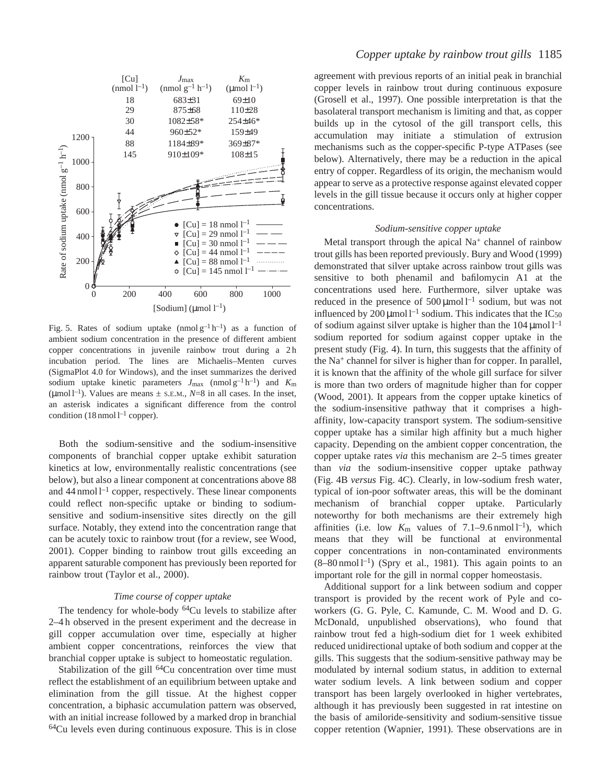

Fig. 5. Rates of sodium uptake (nmol  $g^{-1}h^{-1}$ ) as a function of ambient sodium concentration in the presence of different ambient copper concentrations in juvenile rainbow trout during a 2h incubation period. The lines are Michaelis–Menten curves (SigmaPlot 4.0 for Windows), and the inset summarizes the derived sodium uptake kinetic parameters  $J_{\text{max}}$  (nmol  $g^{-1}h^{-1}$ ) and  $K_{\text{m}}$ (µmol  $l^{-1}$ ). Values are means  $\pm$  s.e.m.,  $N=8$  in all cases. In the inset, an asterisk indicates a significant difference from the control condition (18 nmol  $l^{-1}$  copper).

Both the sodium-sensitive and the sodium-insensitive components of branchial copper uptake exhibit saturation kinetics at low, environmentally realistic concentrations (see below), but also a linear component at concentrations above 88 and  $44$  nmol  $l^{-1}$  copper, respectively. These linear components could reflect non-specific uptake or binding to sodiumsensitive and sodium-insensitive sites directly on the gill surface. Notably, they extend into the concentration range that can be acutely toxic to rainbow trout (for a review, see Wood, 2001). Copper binding to rainbow trout gills exceeding an apparent saturable component has previously been reported for rainbow trout (Taylor et al., 2000).

## *Time course of copper uptake*

The tendency for whole-body <sup>64</sup>Cu levels to stabilize after 2–4 h observed in the present experiment and the decrease in gill copper accumulation over time, especially at higher ambient copper concentrations, reinforces the view that branchial copper uptake is subject to homeostatic regulation.

Stabilization of the gill  $64Cu$  concentration over time must reflect the establishment of an equilibrium between uptake and elimination from the gill tissue. At the highest copper concentration, a biphasic accumulation pattern was observed, with an initial increase followed by a marked drop in branchial 64Cu levels even during continuous exposure. This is in close

agreement with previous reports of an initial peak in branchial copper levels in rainbow trout during continuous exposure (Grosell et al., 1997). One possible interpretation is that the basolateral transport mechanism is limiting and that, as copper builds up in the cytosol of the gill transport cells, this accumulation may initiate a stimulation of extrusion mechanisms such as the copper-specific P-type ATPases (see below). Alternatively, there may be a reduction in the apical entry of copper. Regardless of its origin, the mechanism would appear to serve as a protective response against elevated copper levels in the gill tissue because it occurs only at higher copper concentrations.

## *Sodium-sensitive copper uptake*

Metal transport through the apical  $Na<sup>+</sup>$  channel of rainbow trout gills has been reported previously. Bury and Wood (1999) demonstrated that silver uptake across rainbow trout gills was sensitive to both phenamil and bafilomycin A1 at the concentrations used here. Furthermore, silver uptake was reduced in the presence of  $500 \mu \text{mol}^{-1}$  sodium, but was not influenced by 200  $\mu$ mol l<sup>-1</sup> sodium. This indicates that the IC<sub>50</sub> of sodium against silver uptake is higher than the  $104 \,\mathrm{\mu}$ mol l<sup>-1</sup> sodium reported for sodium against copper uptake in the present study (Fig. 4). In turn, this suggests that the affinity of the Na+ channel for silver is higher than for copper. In parallel, it is known that the affinity of the whole gill surface for silver is more than two orders of magnitude higher than for copper (Wood, 2001). It appears from the copper uptake kinetics of the sodium-insensitive pathway that it comprises a highaffinity, low-capacity transport system. The sodium-sensitive copper uptake has a similar high affinity but a much higher capacity. Depending on the ambient copper concentration, the copper uptake rates *via* this mechanism are 2–5 times greater than *via* the sodium-insensitive copper uptake pathway (Fig. 4B *versus* Fig. 4C). Clearly, in low-sodium fresh water, typical of ion-poor softwater areas, this will be the dominant mechanism of branchial copper uptake. Particularly noteworthy for both mechanisms are their extremely high affinities (i.e. low  $K_m$  values of 7.1–9.6 nmol  $1^{-1}$ ), which means that they will be functional at environmental copper concentrations in non-contaminated environments  $(8–80 \text{ nmol }1^{-1})$  (Spry et al., 1981). This again points to an important role for the gill in normal copper homeostasis.

Additional support for a link between sodium and copper transport is provided by the recent work of Pyle and coworkers (G. G. Pyle, C. Kamunde, C. M. Wood and D. G. McDonald, unpublished observations), who found that rainbow trout fed a high-sodium diet for 1 week exhibited reduced unidirectional uptake of both sodium and copper at the gills. This suggests that the sodium-sensitive pathway may be modulated by internal sodium status, in addition to external water sodium levels. A link between sodium and copper transport has been largely overlooked in higher vertebrates, although it has previously been suggested in rat intestine on the basis of amiloride-sensitivity and sodium-sensitive tissue copper retention (Wapnier, 1991). These observations are in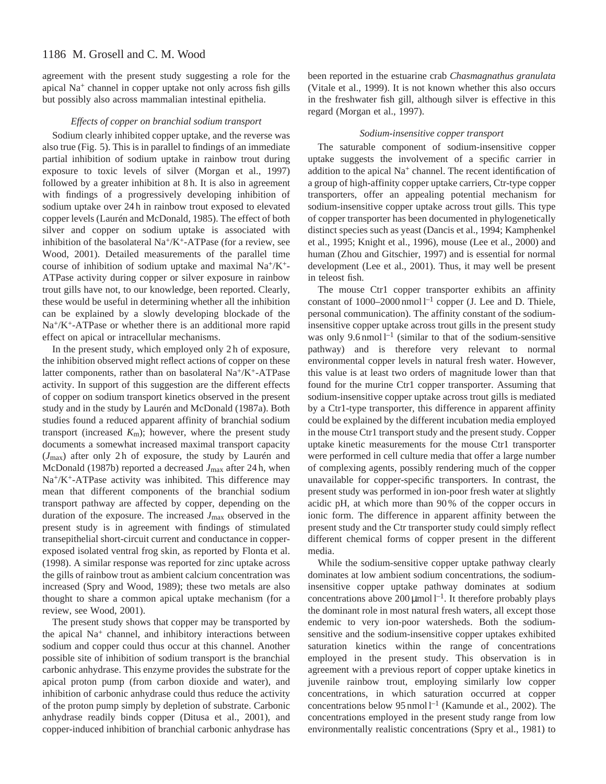# 1186 M. Grosell and C. M. Wood

agreement with the present study suggesting a role for the apical Na+ channel in copper uptake not only across fish gills but possibly also across mammalian intestinal epithelia.

## *Effects of copper on branchial sodium transport*

Sodium clearly inhibited copper uptake, and the reverse was also true (Fig. 5). This is in parallel to findings of an immediate partial inhibition of sodium uptake in rainbow trout during exposure to toxic levels of silver (Morgan et al., 1997) followed by a greater inhibition at 8 h. It is also in agreement with findings of a progressively developing inhibition of sodium uptake over 24 h in rainbow trout exposed to elevated copper levels (Laurén and McDonald, 1985). The effect of both silver and copper on sodium uptake is associated with inhibition of the basolateral  $Na^{+}/K^{+}$ -ATPase (for a review, see Wood, 2001). Detailed measurements of the parallel time course of inhibition of sodium uptake and maximal Na+/K+- ATPase activity during copper or silver exposure in rainbow trout gills have not, to our knowledge, been reported. Clearly, these would be useful in determining whether all the inhibition can be explained by a slowly developing blockade of the Na+/K+-ATPase or whether there is an additional more rapid effect on apical or intracellular mechanisms.

In the present study, which employed only 2 h of exposure, the inhibition observed might reflect actions of copper on these latter components, rather than on basolateral  $Na^+/K^+$ -ATPase activity. In support of this suggestion are the different effects of copper on sodium transport kinetics observed in the present study and in the study by Laurén and McDonald (1987a). Both studies found a reduced apparent affinity of branchial sodium transport (increased  $K<sub>m</sub>$ ); however, where the present study documents a somewhat increased maximal transport capacity (*J*max) after only 2 h of exposure, the study by Laurén and McDonald (1987b) reported a decreased *J*max after 24 h, when  $Na^{+}/K^{+}$ -ATPase activity was inhibited. This difference may mean that different components of the branchial sodium transport pathway are affected by copper, depending on the duration of the exposure. The increased *J*max observed in the present study is in agreement with findings of stimulated transepithelial short-circuit current and conductance in copperexposed isolated ventral frog skin, as reported by Flonta et al. (1998). A similar response was reported for zinc uptake across the gills of rainbow trout as ambient calcium concentration was increased (Spry and Wood, 1989); these two metals are also thought to share a common apical uptake mechanism (for a review, see Wood, 2001).

The present study shows that copper may be transported by the apical Na+ channel, and inhibitory interactions between sodium and copper could thus occur at this channel. Another possible site of inhibition of sodium transport is the branchial carbonic anhydrase. This enzyme provides the substrate for the apical proton pump (from carbon dioxide and water), and inhibition of carbonic anhydrase could thus reduce the activity of the proton pump simply by depletion of substrate. Carbonic anhydrase readily binds copper (Ditusa et al., 2001), and copper-induced inhibition of branchial carbonic anhydrase has been reported in the estuarine crab *Chasmagnathus granulata* (Vitale et al., 1999). It is not known whether this also occurs in the freshwater fish gill, although silver is effective in this regard (Morgan et al., 1997).

## *Sodium-insensitive copper transport*

The saturable component of sodium-insensitive copper uptake suggests the involvement of a specific carrier in addition to the apical  $Na<sup>+</sup>$  channel. The recent identification of a group of high-affinity copper uptake carriers, Ctr-type copper transporters, offer an appealing potential mechanism for sodium-insensitive copper uptake across trout gills. This type of copper transporter has been documented in phylogenetically distinct species such as yeast (Dancis et al., 1994; Kamphenkel et al., 1995; Knight et al., 1996), mouse (Lee et al., 2000) and human (Zhou and Gitschier, 1997) and is essential for normal development (Lee et al., 2001). Thus, it may well be present in teleost fish.

The mouse Ctr1 copper transporter exhibits an affinity constant of  $1000-2000$  nmol  $l^{-1}$  copper (J. Lee and D. Thiele, personal communication). The affinity constant of the sodiuminsensitive copper uptake across trout gills in the present study was only  $9.6 \text{ nmol} \, 1^{-1}$  (similar to that of the sodium-sensitive pathway) and is therefore very relevant to normal environmental copper levels in natural fresh water. However, this value is at least two orders of magnitude lower than that found for the murine Ctr1 copper transporter. Assuming that sodium-insensitive copper uptake across trout gills is mediated by a Ctr1-type transporter, this difference in apparent affinity could be explained by the different incubation media employed in the mouse Ctr1 transport study and the present study. Copper uptake kinetic measurements for the mouse Ctr1 transporter were performed in cell culture media that offer a large number of complexing agents, possibly rendering much of the copper unavailable for copper-specific transporters. In contrast, the present study was performed in ion-poor fresh water at slightly acidic pH, at which more than 90 % of the copper occurs in ionic form. The difference in apparent affinity between the present study and the Ctr transporter study could simply reflect different chemical forms of copper present in the different media.

While the sodium-sensitive copper uptake pathway clearly dominates at low ambient sodium concentrations, the sodiuminsensitive copper uptake pathway dominates at sodium concentrations above  $200 \mu$ mol  $l^{-1}$ . It therefore probably plays the dominant role in most natural fresh waters, all except those endemic to very ion-poor watersheds. Both the sodiumsensitive and the sodium-insensitive copper uptakes exhibited saturation kinetics within the range of concentrations employed in the present study. This observation is in agreement with a previous report of copper uptake kinetics in juvenile rainbow trout, employing similarly low copper concentrations, in which saturation occurred at copper concentrations below 95 nmol  $l^{-1}$  (Kamunde et al., 2002). The concentrations employed in the present study range from low environmentally realistic concentrations (Spry et al., 1981) to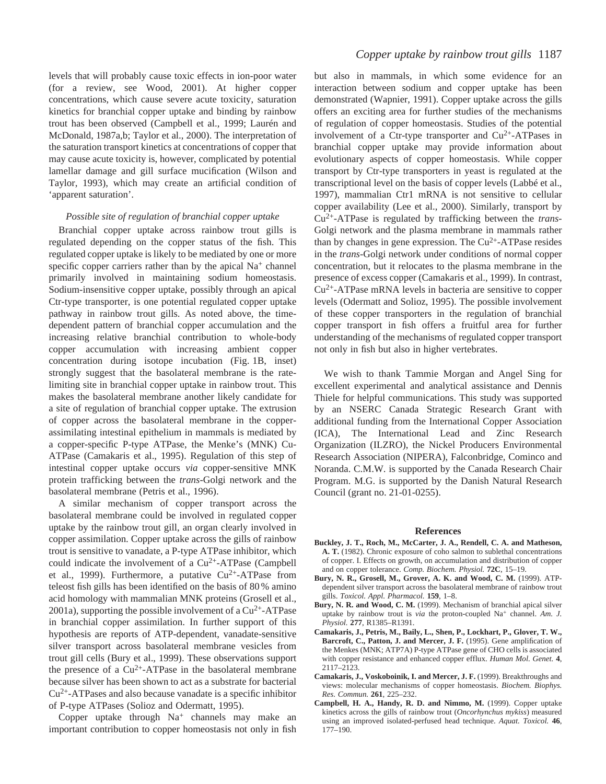levels that will probably cause toxic effects in ion-poor water (for a review, see Wood, 2001). At higher copper concentrations, which cause severe acute toxicity, saturation kinetics for branchial copper uptake and binding by rainbow trout has been observed (Campbell et al., 1999; Laurén and McDonald, 1987a,b; Taylor et al., 2000). The interpretation of the saturation transport kinetics at concentrations of copper that may cause acute toxicity is, however, complicated by potential lamellar damage and gill surface mucification (Wilson and Taylor, 1993), which may create an artificial condition of 'apparent saturation'.

### *Possible site of regulation of branchial copper uptake*

Branchial copper uptake across rainbow trout gills is regulated depending on the copper status of the fish. This regulated copper uptake is likely to be mediated by one or more specific copper carriers rather than by the apical  $Na<sup>+</sup>$  channel primarily involved in maintaining sodium homeostasis. Sodium-insensitive copper uptake, possibly through an apical Ctr-type transporter, is one potential regulated copper uptake pathway in rainbow trout gills. As noted above, the timedependent pattern of branchial copper accumulation and the increasing relative branchial contribution to whole-body copper accumulation with increasing ambient copper concentration during isotope incubation (Fig. 1B, inset) strongly suggest that the basolateral membrane is the ratelimiting site in branchial copper uptake in rainbow trout. This makes the basolateral membrane another likely candidate for a site of regulation of branchial copper uptake. The extrusion of copper across the basolateral membrane in the copperassimilating intestinal epithelium in mammals is mediated by a copper-specific P-type ATPase, the Menke's (MNK) Cu-ATPase (Camakaris et al., 1995). Regulation of this step of intestinal copper uptake occurs *via* copper-sensitive MNK protein trafficking between the *trans*-Golgi network and the basolateral membrane (Petris et al., 1996).

A similar mechanism of copper transport across the basolateral membrane could be involved in regulated copper uptake by the rainbow trout gill, an organ clearly involved in copper assimilation. Copper uptake across the gills of rainbow trout is sensitive to vanadate, a P-type ATPase inhibitor, which could indicate the involvement of a  $Cu^{2+}-ATP$ ase (Campbell et al., 1999). Furthermore, a putative  $Cu^{2+}-ATP$ ase from teleost fish gills has been identified on the basis of 80 % amino acid homology with mammalian MNK proteins (Grosell et al., 2001a), supporting the possible involvement of a  $Cu^{2+}-ATP$  ase in branchial copper assimilation. In further support of this hypothesis are reports of ATP-dependent, vanadate-sensitive silver transport across basolateral membrane vesicles from trout gill cells (Bury et al., 1999). These observations support the presence of a  $Cu^{2+}-ATP$ ase in the basolateral membrane because silver has been shown to act as a substrate for bacterial  $Cu<sup>2+</sup>-ATPases$  and also because vanadate is a specific inhibitor of P-type ATPases (Solioz and Odermatt, 1995).

Copper uptake through  $Na<sup>+</sup>$  channels may make an important contribution to copper homeostasis not only in fish

but also in mammals, in which some evidence for an interaction between sodium and copper uptake has been demonstrated (Wapnier, 1991). Copper uptake across the gills offers an exciting area for further studies of the mechanisms of regulation of copper homeostasis. Studies of the potential involvement of a Ctr-type transporter and  $Cu^{2+}-ATP$ ases in branchial copper uptake may provide information about evolutionary aspects of copper homeostasis. While copper transport by Ctr-type transporters in yeast is regulated at the transcriptional level on the basis of copper levels (Labbé et al., 1997), mammalian Ctr1 mRNA is not sensitive to cellular copper availability (Lee et al., 2000). Similarly, transport by Cu2+-ATPase is regulated by trafficking between the *trans*-Golgi network and the plasma membrane in mammals rather than by changes in gene expression. The  $Cu^{2+}-ATP$ ase resides in the *trans*-Golgi network under conditions of normal copper concentration, but it relocates to the plasma membrane in the presence of excess copper (Camakaris et al., 1999). In contrast, Cu2+-ATPase mRNA levels in bacteria are sensitive to copper levels (Odermatt and Solioz, 1995). The possible involvement of these copper transporters in the regulation of branchial copper transport in fish offers a fruitful area for further understanding of the mechanisms of regulated copper transport not only in fish but also in higher vertebrates.

We wish to thank Tammie Morgan and Angel Sing for excellent experimental and analytical assistance and Dennis Thiele for helpful communications. This study was supported by an NSERC Canada Strategic Research Grant with additional funding from the International Copper Association (ICA), The International Lead and Zinc Research Organization (ILZRO), the Nickel Producers Environmental Research Association (NIPERA), Falconbridge, Cominco and Noranda. C.M.W. is supported by the Canada Research Chair Program. M.G. is supported by the Danish Natural Research Council (grant no. 21-01-0255).

#### **References**

- **Buckley, J. T., Roch, M., McCarter, J. A., Rendell, C. A. and Matheson, A. T.** (1982). Chronic exposure of coho salmon to sublethal concentrations of copper. I. Effects on growth, on accumulation and distribution of copper and on copper tolerance. *Comp. Biochem. Physiol.* **72C**, 15–19.
- **Bury, N. R., Grosell, M., Grover, A. K. and Wood, C. M.** (1999). ATPdependent silver transport across the basolateral membrane of rainbow trout gills. *Toxicol. Appl. Pharmacol.* **159**, 1–8.
- **Bury, N. R. and Wood, C. M.** (1999). Mechanism of branchial apical silver uptake by rainbow trout is *via* the proton-coupled Na<sup>+</sup> channel. Am. J. *Physiol.* **277**, R1385–R1391.
- **Camakaris, J., Petris, M., Baily, L., Shen, P., Lockhart, P., Glover, T. W., Barcroft, C., Patton, J. and Mercer, J. F.** (1995). Gene amplification of the Menkes (MNK; ATP7A) P-type ATPase gene of CHO cells is associated with copper resistance and enhanced copper efflux. *Human Mol. Genet.* **4**, 2117–2123.
- **Camakaris, J., Voskoboinik, I. and Mercer, J. F.** (1999). Breakthroughs and views: molecular mechanisms of copper homeostasis. *Biochem. Biophys. Res. Commun.* **261**, 225–232.
- **Campbell, H. A., Handy, R. D. and Nimmo, M.** (1999). Copper uptake kinetics across the gills of rainbow trout (*Oncorhynchus mykiss*) measured using an improved isolated-perfused head technique. *Aquat. Toxicol.* **46**, 177–190.